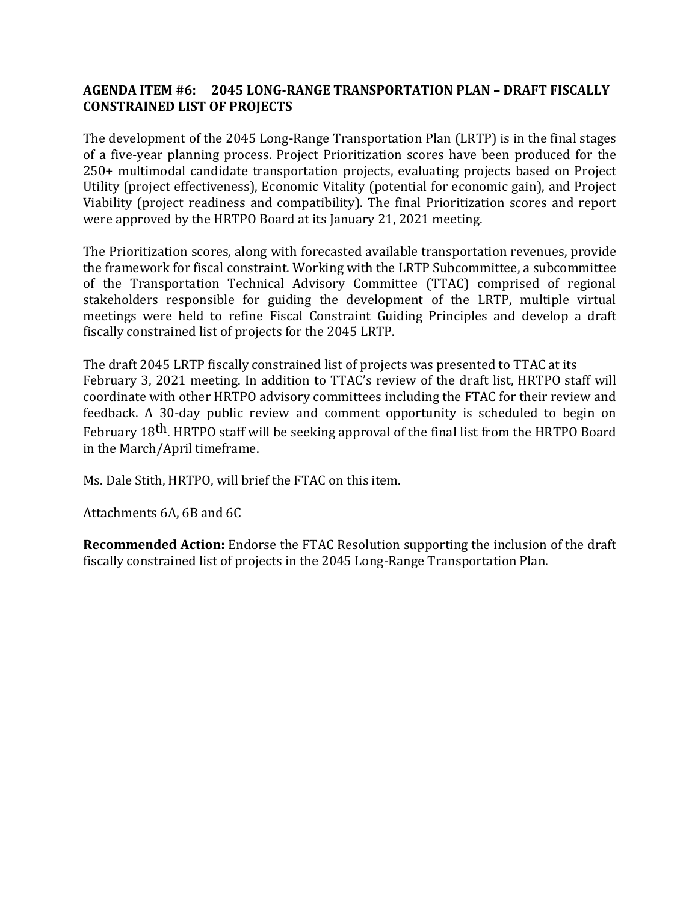## **AGENDA ITEM #6: 2045 LONG-RANGE TRANSPORTATION PLAN – DRAFT FISCALLY CONSTRAINED LIST OF PROJECTS**

The development of the 2045 Long-Range Transportation Plan (LRTP) is in the final stages of a five-year planning process. Project Prioritization scores have been produced for the 250+ multimodal candidate transportation projects, evaluating projects based on Project Utility (project effectiveness), Economic Vitality (potential for economic gain), and Project Viability (project readiness and compatibility). The final Prioritization scores and report were approved by the HRTPO Board at its January 21, 2021 meeting.

The Prioritization scores, along with forecasted available transportation revenues, provide the framework for fiscal constraint. Working with the LRTP Subcommittee, a subcommittee of the Transportation Technical Advisory Committee (TTAC) comprised of regional stakeholders responsible for guiding the development of the LRTP, multiple virtual meetings were held to refine Fiscal Constraint Guiding Principles and develop a draft fiscally constrained list of projects for the 2045 LRTP.

The draft 2045 LRTP fiscally constrained list of projects was presented to TTAC at its February 3, 2021 meeting. In addition to TTAC's review of the draft list, HRTPO staff will coordinate with other HRTPO advisory committees including the FTAC for their review and feedback. A 30-day public review and comment opportunity is scheduled to begin on February 18<sup>th</sup>. HRTPO staff will be seeking approval of the final list from the HRTPO Board in the March/April timeframe.

Ms. Dale Stith, HRTPO, will brief the FTAC on this item.

Attachments 6A, 6B and 6C

**Recommended Action:** Endorse the FTAC Resolution supporting the inclusion of the draft fiscally constrained list of projects in the 2045 Long-Range Transportation Plan.